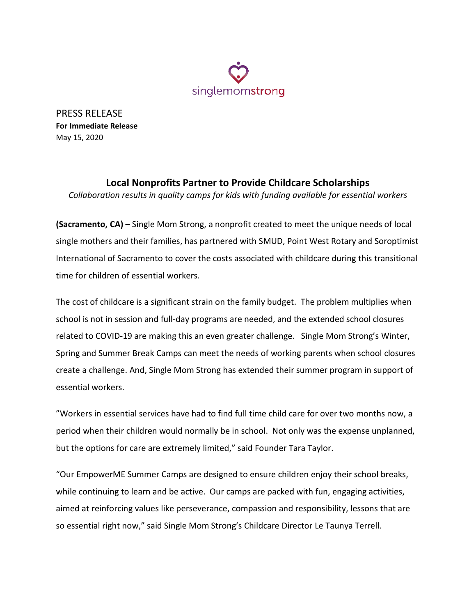

PRESS RELEASE **For Immediate Release** May 15, 2020

## **Local Nonprofits Partner to Provide Childcare Scholarships**

*Collaboration results in quality camps for kids with funding available for essential workers*

**(Sacramento, CA)** – Single Mom Strong, a nonprofit created to meet the unique needs of local single mothers and their families, has partnered with SMUD, Point West Rotary and Soroptimist International of Sacramento to cover the costs associated with childcare during this transitional time for children of essential workers.

The cost of childcare is a significant strain on the family budget. The problem multiplies when school is not in session and full-day programs are needed, and the extended school closures related to COVID-19 are making this an even greater challenge. Single Mom Strong's Winter, Spring and Summer Break Camps can meet the needs of working parents when school closures create a challenge. And, Single Mom Strong has extended their summer program in support of essential workers.

"Workers in essential services have had to find full time child care for over two months now, a period when their children would normally be in school. Not only was the expense unplanned, but the options for care are extremely limited," said Founder Tara Taylor.

"Our EmpowerME Summer Camps are designed to ensure children enjoy their school breaks, while continuing to learn and be active. Our camps are packed with fun, engaging activities, aimed at reinforcing values like perseverance, compassion and responsibility, lessons that are so essential right now," said Single Mom Strong's Childcare Director Le Taunya Terrell.